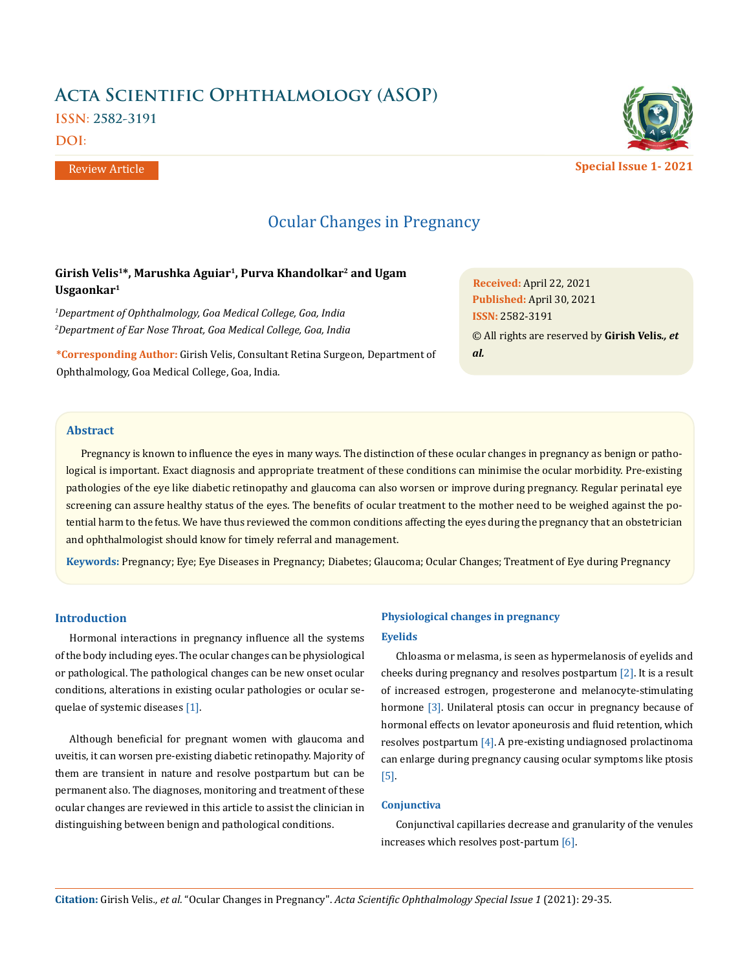# **Acta Scientific Ophthalmology (ASOP)**

**ISSN: 2582-3191**

**DOI:** 

Review Article

## Ocular Changes in Pregnancy

## **Girish Velis1\*, Marushka Aguiar1, Purva Khandolkar2 and Ugam Usgaonkar1**

*1 Department of Ophthalmology, Goa Medical College, Goa, India 2 Department of Ear Nose Throat, Goa Medical College, Goa, India*

**\*Corresponding Author:** Girish Velis, Consultant Retina Surgeon, Department of Ophthalmology, Goa Medical College, Goa, India.

#### **Abstract**

Pregnancy is known to influence the eyes in many ways. The distinction of these ocular changes in pregnancy as benign or pathological is important. Exact diagnosis and appropriate treatment of these conditions can minimise the ocular morbidity. Pre-existing pathologies of the eye like diabetic retinopathy and glaucoma can also worsen or improve during pregnancy. Regular perinatal eye screening can assure healthy status of the eyes. The benefits of ocular treatment to the mother need to be weighed against the potential harm to the fetus. We have thus reviewed the common conditions affecting the eyes during the pregnancy that an obstetrician and ophthalmologist should know for timely referral and management.

**Keywords:** Pregnancy; Eye; Eye Diseases in Pregnancy; Diabetes; Glaucoma; Ocular Changes; Treatment of Eye during Pregnancy

#### **Introduction**

Hormonal interactions in pregnancy influence all the systems of the body including eyes. The ocular changes can be physiological or pathological. The pathological changes can be new onset ocular conditions, alterations in existing ocular pathologies or ocular sequelae of systemic diseases [1].

Although beneficial for pregnant women with glaucoma and uveitis, it can worsen pre-existing diabetic retinopathy. Majority of them are transient in nature and resolve postpartum but can be permanent also. The diagnoses, monitoring and treatment of these ocular changes are reviewed in this article to assist the clinician in distinguishing between benign and pathological conditions.

## **Physiological changes in pregnancy Eyelids**

*al.*

Chloasma or melasma, is seen as hypermelanosis of eyelids and cheeks during pregnancy and resolves postpartum [2]. It is a result of increased estrogen, progesterone and melanocyte-stimulating hormone [3]. Unilateral ptosis can occur in pregnancy because of hormonal effects on levator aponeurosis and fluid retention, which resolves postpartum [4].A pre-existing undiagnosed prolactinoma can enlarge during pregnancy causing ocular symptoms like ptosis [5].

#### **Conjunctiva**

Conjunctival capillaries decrease and granularity of the venules increases which resolves post-partum [6].



**Special Issue 1- 2021**

**Received:** April 22, 2021 **Published:** April 30, 2021 © All rights are reserved by **Girish Velis***., et*  **ISSN:** 2582-3191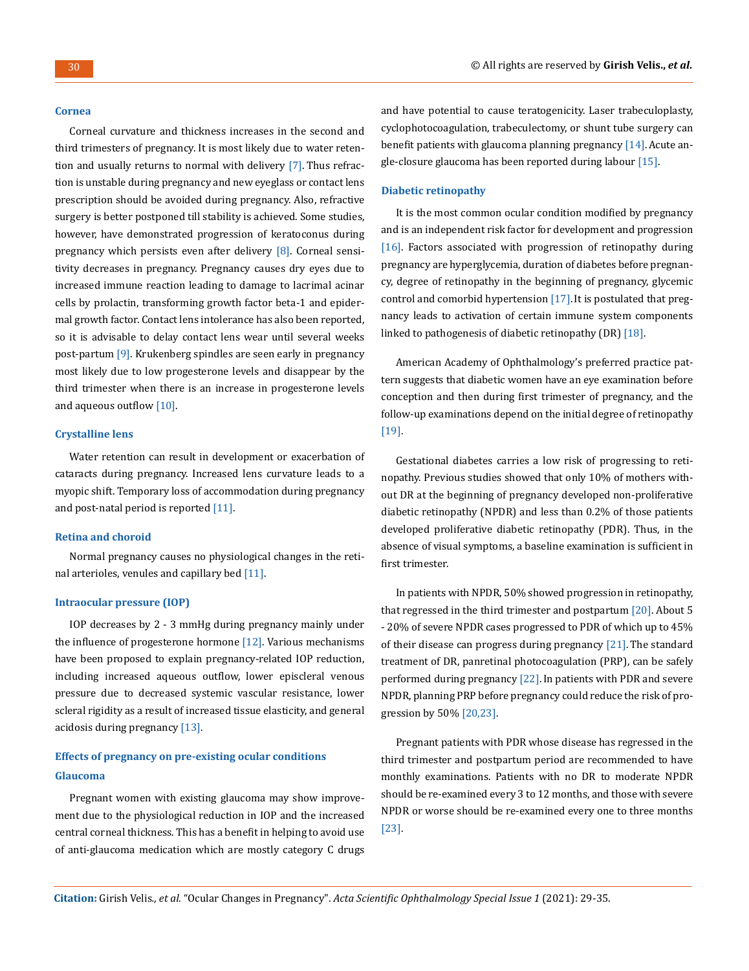#### **Cornea**

Corneal curvature and thickness increases in the second and third trimesters of pregnancy. It is most likely due to water retention and usually returns to normal with delivery [7]. Thus refraction is unstable during pregnancy and new eyeglass or contact lens prescription should be avoided during pregnancy. Also, refractive surgery is better postponed till stability is achieved. Some studies, however, have demonstrated progression of keratoconus during pregnancy which persists even after delivery [8]. Corneal sensitivity decreases in pregnancy. Pregnancy causes dry eyes due to increased immune reaction leading to damage to lacrimal acinar cells by prolactin, transforming growth factor beta-1 and epidermal growth factor. Contact lens intolerance has also been reported, so it is advisable to delay contact lens wear until several weeks post-partum [9]. Krukenberg spindles are seen early in pregnancy most likely due to low progesterone levels and disappear by the third trimester when there is an increase in progesterone levels and aqueous outflow [10].

#### **Crystalline lens**

Water retention can result in development or exacerbation of cataracts during pregnancy. Increased lens curvature leads to a myopic shift. Temporary loss of accommodation during pregnancy and post-natal period is reported [11].

#### **Retina and choroid**

Normal pregnancy causes no physiological changes in the retinal arterioles, venules and capillary bed [11].

#### **Intraocular pressure (IOP)**

IOP decreases by 2 - 3 mmHg during pregnancy mainly under the influence of progesterone hormone [12]. Various mechanisms have been proposed to explain pregnancy-related IOP reduction, including increased aqueous outflow, lower episcleral venous pressure due to decreased systemic vascular resistance, lower scleral rigidity as a result of increased tissue elasticity, and general acidosis during pregnancy [13].

## **Effects of pregnancy on pre-existing ocular conditions Glaucoma**

Pregnant women with existing glaucoma may show improvement due to the physiological reduction in IOP and the increased central corneal thickness. This has a benefit in helping to avoid use of anti-glaucoma medication which are mostly category C drugs and have potential to cause teratogenicity. Laser trabeculoplasty, cyclophotocoagulation, trabeculectomy, or shunt tube surgery can benefit patients with glaucoma planning pregnancy  $[14]$ . Acute angle-closure glaucoma has been reported during labour [15].

#### **Diabetic retinopathy**

It is the most common ocular condition modified by pregnancy and is an independent risk factor for development and progression [16]. Factors associated with progression of retinopathy during pregnancy are hyperglycemia, duration of diabetes before pregnancy, degree of retinopathy in the beginning of pregnancy, glycemic control and comorbid hypertension [17].It is postulated that pregnancy leads to activation of certain immune system components linked to pathogenesis of diabetic retinopathy (DR) [18].

American Academy of Ophthalmology's preferred practice pattern suggests that diabetic women have an eye examination before conception and then during first trimester of pregnancy, and the follow-up examinations depend on the initial degree of retinopathy [19].

Gestational diabetes carries a low risk of progressing to retinopathy. Previous studies showed that only 10% of mothers without DR at the beginning of pregnancy developed non-proliferative diabetic retinopathy (NPDR) and less than 0.2% of those patients developed proliferative diabetic retinopathy (PDR). Thus, in the absence of visual symptoms, a baseline examination is sufficient in first trimester.

In patients with NPDR, 50% showed progression in retinopathy, that regressed in the third trimester and postpartum  $\lceil 20 \rceil$ . About 5 - 20% of severe NPDR cases progressed to PDR of which up to 45% of their disease can progress during pregnancy [21]. The standard treatment of DR, panretinal photocoagulation (PRP), can be safely performed during pregnancy [22]. In patients with PDR and severe NPDR, planning PRP before pregnancy could reduce the risk of progression by 50% [20,23].

Pregnant patients with PDR whose disease has regressed in the third trimester and postpartum period are recommended to have monthly examinations. Patients with no DR to moderate NPDR should be re-examined every 3 to 12 months, and those with severe NPDR or worse should be re-examined every one to three months [23].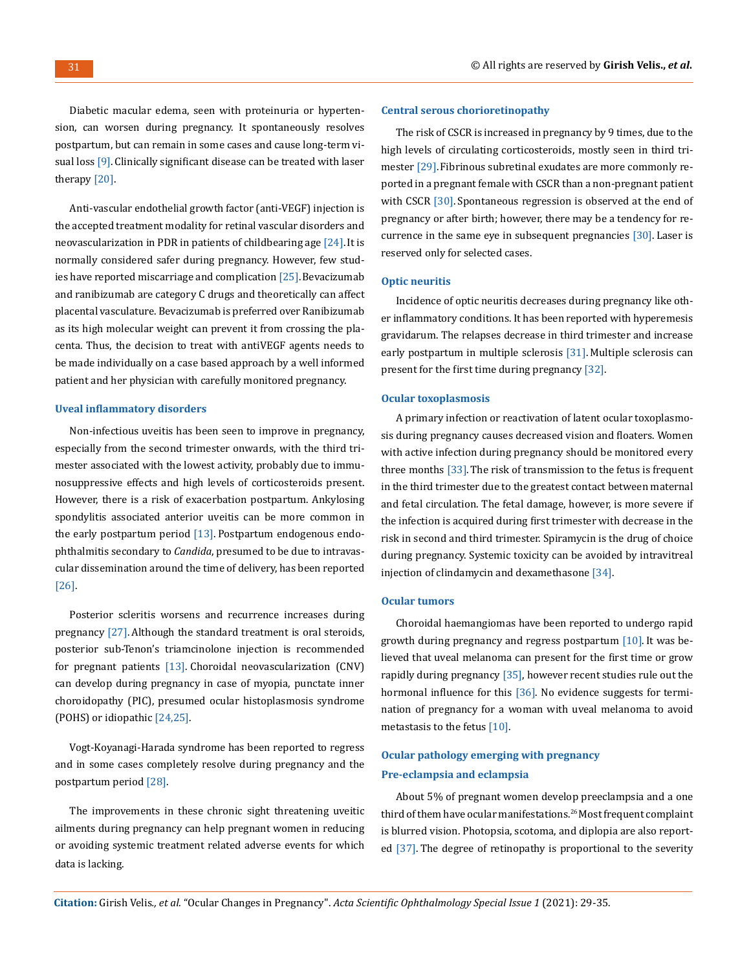Diabetic macular edema, seen with proteinuria or hypertension, can worsen during pregnancy. It spontaneously resolves postpartum, but can remain in some cases and cause long-term visual loss [9]. Clinically significant disease can be treated with laser therapy [20].

Anti-vascular endothelial growth factor (anti-VEGF) injection is the accepted treatment modality for retinal vascular disorders and neovascularization in PDR in patients of childbearing age [24]. It is normally considered safer during pregnancy. However, few studies have reported miscarriage and complication [25]. Bevacizumab and ranibizumab are category C drugs and theoretically can affect placental vasculature. Bevacizumab is preferred over Ranibizumab as its high molecular weight can prevent it from crossing the placenta. Thus, the decision to treat with antiVEGF agents needs to be made individually on a case based approach by a well informed patient and her physician with carefully monitored pregnancy.

#### **Uveal inflammatory disorders**

Non-infectious uveitis has been seen to improve in pregnancy, especially from the second trimester onwards, with the third trimester associated with the lowest activity, probably due to immunosuppressive effects and high levels of corticosteroids present. However, there is a risk of exacerbation postpartum. Ankylosing spondylitis associated anterior uveitis can be more common in the early postpartum period [13]. Postpartum endogenous endophthalmitis secondary to *Candida*, presumed to be due to intravascular dissemination around the time of delivery, has been reported [26].

Posterior scleritis worsens and recurrence increases during pregnancy [27]. Although the standard treatment is oral steroids, posterior sub-Tenon's triamcinolone injection is recommended for pregnant patients  $[13]$ . Choroidal neovascularization  $(CNV)$ can develop during pregnancy in case of myopia, punctate inner choroidopathy (PIC), presumed ocular histoplasmosis syndrome (POHS) or idiopathic [24,25].

Vogt-Koyanagi-Harada syndrome has been reported to regress and in some cases completely resolve during pregnancy and the postpartum period [28].

The improvements in these chronic sight threatening uveitic ailments during pregnancy can help pregnant women in reducing or avoiding systemic treatment related adverse events for which data is lacking.

#### **Central serous chorioretinopathy**

The risk of CSCR is increased in pregnancy by 9 times, due to the high levels of circulating corticosteroids, mostly seen in third trimester [29].Fibrinous subretinal exudates are more commonly reported in a pregnant female with CSCR than a non-pregnant patient with CSCR [30]. Spontaneous regression is observed at the end of pregnancy or after birth; however, there may be a tendency for recurrence in the same eye in subsequent pregnancies [30]. Laser is reserved only for selected cases.

#### **Optic neuritis**

Incidence of optic neuritis decreases during pregnancy like other inflammatory conditions. It has been reported with hyperemesis gravidarum. The relapses decrease in third trimester and increase early postpartum in multiple sclerosis [31]. Multiple sclerosis can present for the first time during pregnancy [32].

#### **Ocular toxoplasmosis**

A primary infection or reactivation of latent ocular toxoplasmosis during pregnancy causes decreased vision and floaters. Women with active infection during pregnancy should be monitored every three months  $[33]$ . The risk of transmission to the fetus is frequent in the third trimester due to the greatest contact between maternal and fetal circulation. The fetal damage, however, is more severe if the infection is acquired during first trimester with decrease in the risk in second and third trimester. Spiramycin is the drug of choice during pregnancy. Systemic toxicity can be avoided by intravitreal injection of clindamycin and dexamethasone [34].

#### **Ocular tumors**

Choroidal haemangiomas have been reported to undergo rapid growth during pregnancy and regress postpartum [10]. It was believed that uveal melanoma can present for the first time or grow rapidly during pregnancy [35], however recent studies rule out the hormonal influence for this [36]. No evidence suggests for termination of pregnancy for a woman with uveal melanoma to avoid metastasis to the fetus [10].

## **Ocular pathology emerging with pregnancy Pre-eclampsia and eclampsia**

About 5% of pregnant women develop preeclampsia and a one third of them have ocular manifestations.26 Most frequent complaint is blurred vision. Photopsia, scotoma, and diplopia are also reported [37]. The degree of retinopathy is proportional to the severity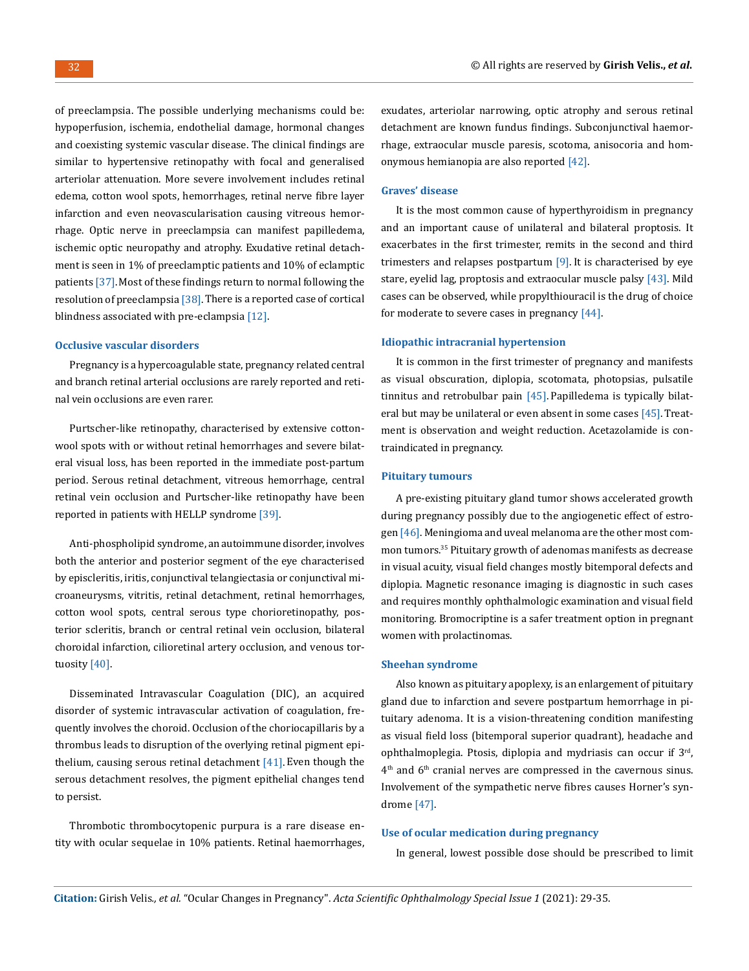of preeclampsia. The possible underlying mechanisms could be: hypoperfusion, ischemia, endothelial damage, hormonal changes and coexisting systemic vascular disease. The clinical findings are similar to hypertensive retinopathy with focal and generalised arteriolar attenuation. More severe involvement includes retinal edema, cotton wool spots, hemorrhages, retinal nerve fibre layer infarction and even neovascularisation causing vitreous hemorrhage. Optic nerve in preeclampsia can manifest papilledema, ischemic optic neuropathy and atrophy. Exudative retinal detachment is seen in 1% of preeclamptic patients and 10% of eclamptic patients [37].Most of these findings return to normal following the resolution of preeclampsia [38]. There is a reported case of cortical blindness associated with pre-eclampsia [12].

#### **Occlusive vascular disorders**

Pregnancy is a hypercoagulable state, pregnancy related central and branch retinal arterial occlusions are rarely reported and retinal vein occlusions are even rarer.

Purtscher-like retinopathy, characterised by extensive cottonwool spots with or without retinal hemorrhages and severe bilateral visual loss, has been reported in the immediate post-partum period. Serous retinal detachment, vitreous hemorrhage, central retinal vein occlusion and Purtscher-like retinopathy have been reported in patients with HELLP syndrome [39].

Anti-phospholipid syndrome, an autoimmune disorder, involves both the anterior and posterior segment of the eye characterised by episcleritis, iritis, conjunctival telangiectasia or conjunctival microaneurysms, vitritis, retinal detachment, retinal hemorrhages, cotton wool spots, central serous type chorioretinopathy, posterior scleritis, branch or central retinal vein occlusion, bilateral choroidal infarction, cilioretinal artery occlusion, and venous tortuosity [40].

Disseminated Intravascular Coagulation (DIC), an acquired disorder of systemic intravascular activation of coagulation, frequently involves the choroid. Occlusion of the choriocapillaris by a thrombus leads to disruption of the overlying retinal pigment epithelium, causing serous retinal detachment [41]. Even though the serous detachment resolves, the pigment epithelial changes tend to persist.

Thrombotic thrombocytopenic purpura is a rare disease entity with ocular sequelae in 10% patients. Retinal haemorrhages, exudates, arteriolar narrowing, optic atrophy and serous retinal detachment are known fundus findings. Subconjunctival haemorrhage, extraocular muscle paresis, scotoma, anisocoria and homonymous hemianopia are also reported [42].

#### **Graves' disease**

It is the most common cause of hyperthyroidism in pregnancy and an important cause of unilateral and bilateral proptosis. It exacerbates in the first trimester, remits in the second and third trimesters and relapses postpartum [9]. It is characterised by eye stare, eyelid lag, proptosis and extraocular muscle palsy [43]. Mild cases can be observed, while propylthiouracil is the drug of choice for moderate to severe cases in pregnancy  $[44]$ .

#### **Idiopathic intracranial hypertension**

It is common in the first trimester of pregnancy and manifests as visual obscuration, diplopia, scotomata, photopsias, pulsatile tinnitus and retrobulbar pain [45]. Papilledema is typically bilateral but may be unilateral or even absent in some cases [45]. Treatment is observation and weight reduction. Acetazolamide is contraindicated in pregnancy.

#### **Pituitary tumours**

A pre-existing pituitary gland tumor shows accelerated growth during pregnancy possibly due to the angiogenetic effect of estrogen [46]. Meningioma and uveal melanoma are the other most common tumors.35 Pituitary growth of adenomas manifests as decrease in visual acuity, visual field changes mostly bitemporal defects and diplopia. Magnetic resonance imaging is diagnostic in such cases and requires monthly ophthalmologic examination and visual field monitoring. Bromocriptine is a safer treatment option in pregnant women with prolactinomas.

#### **Sheehan syndrome**

Also known as pituitary apoplexy, is an enlargement of pituitary gland due to infarction and severe postpartum hemorrhage in pituitary adenoma. It is a vision-threatening condition manifesting as visual field loss (bitemporal superior quadrant), headache and ophthalmoplegia. Ptosis, diplopia and mydriasis can occur if 3rd, 4th and 6th cranial nerves are compressed in the cavernous sinus. Involvement of the sympathetic nerve fibres causes Horner's syndrome [47].

#### **Use of ocular medication during pregnancy**

In general, lowest possible dose should be prescribed to limit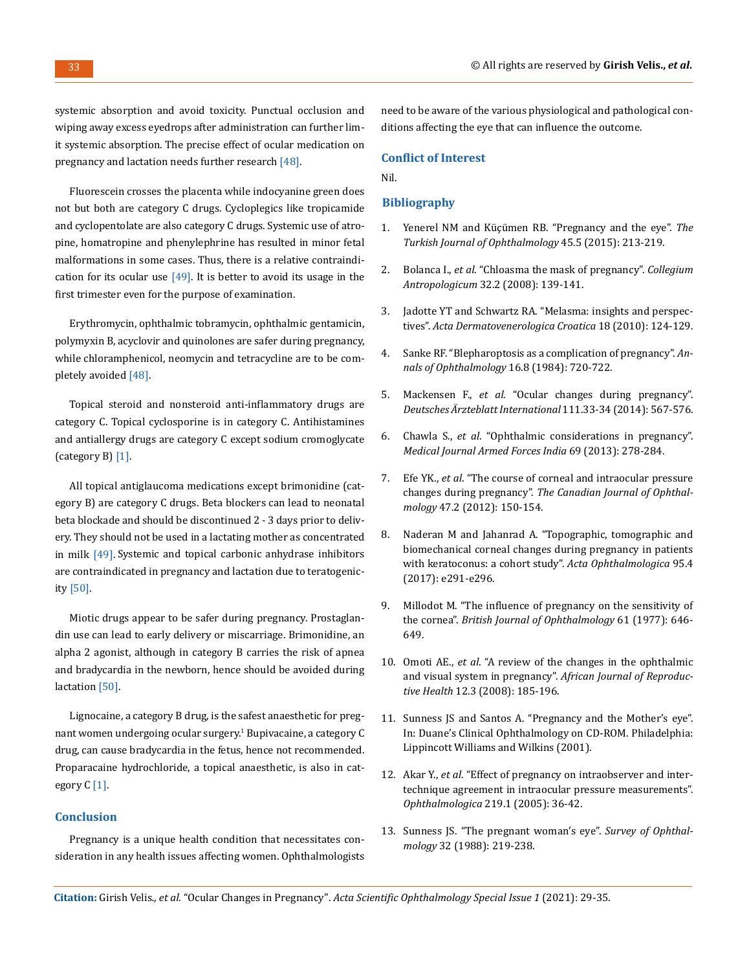systemic absorption and avoid toxicity. Punctual occlusion and wiping away excess eyedrops after administration can further limit systemic absorption. The precise effect of ocular medication on pregnancy and lactation needs further research [48].

Fluorescein crosses the placenta while indocyanine green does not but both are category C drugs. Cycloplegics like tropicamide and cyclopentolate are also category C drugs. Systemic use of atropine, homatropine and phenylephrine has resulted in minor fetal malformations in some cases. Thus, there is a relative contraindication for its ocular use  $[49]$ . It is better to avoid its usage in the first trimester even for the purpose of examination.

Erythromycin, ophthalmic tobramycin, ophthalmic gentamicin, polymyxin B, acyclovir and quinolones are safer during pregnancy, while chloramphenicol, neomycin and tetracycline are to be completely avoided [48].

Topical steroid and nonsteroid anti-inflammatory drugs are category C. Topical cyclosporine is in category C. Antihistamines and antiallergy drugs are category C except sodium cromoglycate (category B) [1].

All topical antiglaucoma medications except brimonidine (category B) are category C drugs. Beta blockers can lead to neonatal beta blockade and should be discontinued 2 - 3 days prior to delivery. They should not be used in a lactating mother as concentrated in milk [49]. Systemic and topical carbonic anhydrase inhibitors are contraindicated in pregnancy and lactation due to teratogenicity [50].

Miotic drugs appear to be safer during pregnancy. Prostaglandin use can lead to early delivery or miscarriage. Brimonidine, an alpha 2 agonist, although in category B carries the risk of apnea and bradycardia in the newborn, hence should be avoided during lactation [50].

Lignocaine, a category B drug, is the safest anaesthetic for pregnant women undergoing ocular surgery.<sup>1</sup> Bupivacaine, a category C drug, can cause bradycardia in the fetus, hence not recommended. Proparacaine hydrochloride, a topical anaesthetic, is also in category C [1].

### **Conclusion**

Pregnancy is a unique health condition that necessitates consideration in any health issues affecting women. Ophthalmologists need to be aware of the various physiological and pathological conditions affecting the eye that can influence the outcome.

#### **Conflict of Interest**

Nil.

#### **Bibliography**

- 1. [Yenerel NM and Küçümen RB. "Pregnancy and the eye".](https://www.ncbi.nlm.nih.gov/pmc/articles/PMC5082244/) *The [Turkish Journal of Ophthalmology](https://www.ncbi.nlm.nih.gov/pmc/articles/PMC5082244/)* 45.5 (2015): 213-219.
- 2. Bolanca I., *et al*[. "Chloasma the mask of pregnancy".](https://www.researchgate.net/publication/27218001_Chloasma_-_The_Mask_of_Pregnancy) *Collegium Antropologicum* [32.2 \(2008\): 139-141.](https://www.researchgate.net/publication/27218001_Chloasma_-_The_Mask_of_Pregnancy)
- 3. [Jadotte YT and Schwartz RA. "Melasma: insights and perspec](https://pubmed.ncbi.nlm.nih.gov/20624364/)tives". *[Acta Dermatovenerologica Croatica](https://pubmed.ncbi.nlm.nih.gov/20624364/)* 18 (2010): 124-129.
- 4. [Sanke RF. "Blepharoptosis as a complication of pregnancy".](https://pubmed.ncbi.nlm.nih.gov/6497218/) *An[nals of Ophthalmology](https://pubmed.ncbi.nlm.nih.gov/6497218/)* 16.8 (1984): 720-722.
- 5. Mackensen F., *et al*[. "Ocular changes during pregnancy".](https://www.aao.org/eyenet/article/ocular-changes-during-pregnancy)  *[Deutsches Ärzteblatt International](https://www.aao.org/eyenet/article/ocular-changes-during-pregnancy)* 111.33-34 (2014): 567-576.
- 6. Chawla S., *et al*[. "Ophthalmic considerations in pregnancy".](https://www.ncbi.nlm.nih.gov/pmc/articles/PMC3862469/)  *[Medical Journal Armed Forces India](https://www.ncbi.nlm.nih.gov/pmc/articles/PMC3862469/)* 69 (2013): 278-284.
- 7. Efe YK., *et al*[. "The course of corneal and intraocular pressure](https://www.sciencedirect.com/science/article/abs/pii/S0008418212000051)  changes during pregnancy". *[The Canadian Journal of Ophthal](https://www.sciencedirect.com/science/article/abs/pii/S0008418212000051)mology* [47.2 \(2012\): 150-154.](https://www.sciencedirect.com/science/article/abs/pii/S0008418212000051)
- 8. [Naderan M and Jahanrad A. "Topographic, tomographic and](https://pubmed.ncbi.nlm.nih.gov/27781383/)  [biomechanical corneal changes during pregnancy in patients](https://pubmed.ncbi.nlm.nih.gov/27781383/)  [with keratoconus: a cohort study".](https://pubmed.ncbi.nlm.nih.gov/27781383/) *Acta Ophthalmologica* 95.4 [\(2017\): e291-e296.](https://pubmed.ncbi.nlm.nih.gov/27781383/)
- 9. [Millodot M. "The influence of pregnancy on the sensitivity of](https://bjo.bmj.com/content/61/10/646)  the cornea". *[British Journal of Ophthalmology](https://bjo.bmj.com/content/61/10/646)* 61 (1977): 646- [649.](https://bjo.bmj.com/content/61/10/646)
- 10. Omoti AE., *et al*[. "A review of the changes in the ophthalmic](https://pubmed.ncbi.nlm.nih.gov/19435022/)  [and visual system in pregnancy".](https://pubmed.ncbi.nlm.nih.gov/19435022/) *African Journal of Reproductive Health* [12.3 \(2008\): 185-196.](https://pubmed.ncbi.nlm.nih.gov/19435022/)
- 11. [Sunness JS and Santos A. "Pregnancy and the Mother's eye".](https://entokey.com/pregnancy-and-the-mothers-eye/)  [In: Duane's Clinical Ophthalmology on CD-ROM. Philadelphia:](https://entokey.com/pregnancy-and-the-mothers-eye/)  [Lippincott Williams and Wilkins \(2001\).](https://entokey.com/pregnancy-and-the-mothers-eye/)
- 12. Akar Y., *et al*[. "Effect of pregnancy on intraobserver and inter](https://pubmed.ncbi.nlm.nih.gov/15627826/)[technique agreement in intraocular pressure measurements".](https://pubmed.ncbi.nlm.nih.gov/15627826/)  *Ophthalmologica* [219.1 \(2005\): 36-42.](https://pubmed.ncbi.nlm.nih.gov/15627826/)
- 13. [Sunness JS. "The pregnant woman's eye".](https://pubmed.ncbi.nlm.nih.gov/3279558/) *Survey of Ophthalmology* [32 \(1988\): 219-238.](https://pubmed.ncbi.nlm.nih.gov/3279558/)

**Citation:** Girish Velis*., et al.* "Ocular Changes in Pregnancy". *Acta Scientific Ophthalmology Special Issue 1* (2021): 29-35.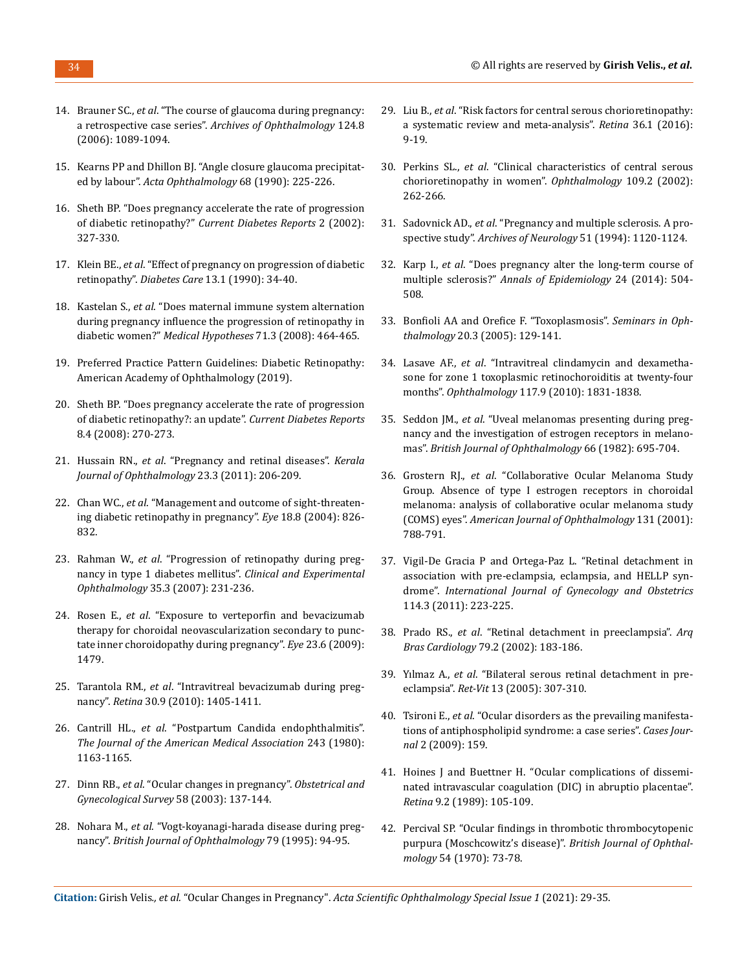- 14. Brauner SC., *et al*[. "The course of glaucoma during pregnancy:](https://jamanetwork.com/journals/jamaophthalmology/fullarticle/417821)  a retrospective case series". *[Archives of Ophthalmology](https://jamanetwork.com/journals/jamaophthalmology/fullarticle/417821)* 124.8 [\(2006\): 1089-1094.](https://jamanetwork.com/journals/jamaophthalmology/fullarticle/417821)
- 15. [Kearns PP and Dhillon BJ. "Angle closure glaucoma precipitat](https://onlinelibrary.wiley.com/doi/abs/10.1111/j.1755-3768.1990.tb01910.x)ed by labour". *[Acta Ophthalmology](https://onlinelibrary.wiley.com/doi/abs/10.1111/j.1755-3768.1990.tb01910.x)* 68 (1990): 225-226.
- 16. [Sheth BP. "Does pregnancy accelerate the rate of progression](https://www.researchgate.net/publication/51406079_Does_pregnancy_accelerate_the_rate_of_progression_of_diabetic_retinopathy_An_update)  of diabetic retinopathy?" *[Current Diabetes Reports](https://www.researchgate.net/publication/51406079_Does_pregnancy_accelerate_the_rate_of_progression_of_diabetic_retinopathy_An_update)* 2 (2002): [327-330.](https://www.researchgate.net/publication/51406079_Does_pregnancy_accelerate_the_rate_of_progression_of_diabetic_retinopathy_An_update)
- 17. Klein BE., *et al*[. "Effect of pregnancy on progression of diabetic](https://pubmed.ncbi.nlm.nih.gov/2404715/)  retinopathy". *Diabetes Care* [13.1 \(1990\): 34-40.](https://pubmed.ncbi.nlm.nih.gov/2404715/)
- 18. Kastelan S., *et al*[. "Does maternal immune system alternation](https://pubmed.ncbi.nlm.nih.gov/18479838/)  [during pregnancy influence the progression of retinopathy in](https://pubmed.ncbi.nlm.nih.gov/18479838/)  diabetic women?" *[Medical Hypotheses](https://pubmed.ncbi.nlm.nih.gov/18479838/)* 71.3 (2008): 464-465.
- 19. Preferred Practice Pattern Guidelines: Diabetic Retinopathy: American Academy of Ophthalmology (2019).
- 20. [Sheth BP. "Does pregnancy accelerate the rate of progression](https://www.researchgate.net/publication/51406079_Does_pregnancy_accelerate_the_rate_of_progression_of_diabetic_retinopathy_An_update)  [of diabetic retinopathy?: an update".](https://www.researchgate.net/publication/51406079_Does_pregnancy_accelerate_the_rate_of_progression_of_diabetic_retinopathy_An_update) *Current Diabetes Reports*  [8.4 \(2008\): 270-273.](https://www.researchgate.net/publication/51406079_Does_pregnancy_accelerate_the_rate_of_progression_of_diabetic_retinopathy_An_update)
- 21. Hussain RN., *et al*[. "Pregnancy and retinal diseases".](http://www.ksos.in/ksosjournal/journalsub/Journal_Article_25_437.pdf) *Kerala [Journal of Ophthalmology](http://www.ksos.in/ksosjournal/journalsub/Journal_Article_25_437.pdf)* 23.3 (2011): 206-209.
- 22. Chan WC., *et al*[. "Management and outcome of sight-threaten](https://www.researchgate.net/publication/5535029_Management_and_outcome_of_sight-threatening_diabetic_retinopathy_in_pregnancy)[ing diabetic retinopathy in pregnancy".](https://www.researchgate.net/publication/5535029_Management_and_outcome_of_sight-threatening_diabetic_retinopathy_in_pregnancy) *Eye* 18.8 (2004): 826- [832.](https://www.researchgate.net/publication/5535029_Management_and_outcome_of_sight-threatening_diabetic_retinopathy_in_pregnancy)
- 23. Rahman W., *et al*[. "Progression of retinopathy during preg](https://pubmed.ncbi.nlm.nih.gov/17430509/)[nancy in type 1 diabetes mellitus".](https://pubmed.ncbi.nlm.nih.gov/17430509/) *Clinical and Experimental Ophthalmology* [35.3 \(2007\): 231-236.](https://pubmed.ncbi.nlm.nih.gov/17430509/)
- 24. Rosen E., *et al*[. "Exposure to verteporfin and bevacizumab](https://pubmed.ncbi.nlm.nih.gov/18617903/)  [therapy for choroidal neovascularization secondary to punc](https://pubmed.ncbi.nlm.nih.gov/18617903/)[tate inner choroidopathy during pregnancy".](https://pubmed.ncbi.nlm.nih.gov/18617903/) *Eye* 23.6 (2009): [1479.](https://pubmed.ncbi.nlm.nih.gov/18617903/)
- 25. Tarantola RM., *et al*[. "Intravitreal bevacizumab during preg](https://iovs.arvojournals.org/article.aspx?articleid=2370894)nancy". *Retina* [30.9 \(2010\): 1405-1411.](https://iovs.arvojournals.org/article.aspx?articleid=2370894)
- 26. Cantrill HL., *et al*[. "Postpartum Candida endophthalmitis".](https://jamanetwork.com/journals/jama/article-abstract/369086)  *[The Journal of the American Medical Association](https://jamanetwork.com/journals/jama/article-abstract/369086)* 243 (1980): [1163-1165.](https://jamanetwork.com/journals/jama/article-abstract/369086)
- 27. Dinn RB., *et al*[. "Ocular changes in pregnancy".](https://www.aao.org/eyenet/article/ocular-changes-during-pregnancy) *Obstetrical and [Gynecological Survey](https://www.aao.org/eyenet/article/ocular-changes-during-pregnancy)* 58 (2003): 137-144.
- 28. Nohara M., *et al*[. "Vogt-koyanagi-harada disease during preg](https://bjo.bmj.com/content/bjophthalmol/79/1/94.full.pdf)nancy". *[British Journal of Ophthalmology](https://bjo.bmj.com/content/bjophthalmol/79/1/94.full.pdf)* 79 (1995): 94-95.
- 29. Liu B., *et al*[. "Risk factors for central serous chorioretinopathy:](https://pubmed.ncbi.nlm.nih.gov/26710181/)  [a systematic review and meta-analysis".](https://pubmed.ncbi.nlm.nih.gov/26710181/) *Retina* 36.1 (2016): [9-19.](https://pubmed.ncbi.nlm.nih.gov/26710181/)
- 30. Perkins SL., *et al*[. "Clinical characteristics of central serous](https://www.sciencedirect.com/science/article/abs/pii/S0161642001009514)  [chorioretinopathy in women".](https://www.sciencedirect.com/science/article/abs/pii/S0161642001009514) *Ophthalmology* 109.2 (2002): [262-266.](https://www.sciencedirect.com/science/article/abs/pii/S0161642001009514)
- 31. Sadovnick AD., *et al*[. "Pregnancy and multiple sclerosis. A pro](https://pubmed.ncbi.nlm.nih.gov/7980107/)spective study". *[Archives of Neurology](https://pubmed.ncbi.nlm.nih.gov/7980107/)* 51 (1994): 1120-1124.
- 32. Karp I., *et al*[. "Does pregnancy alter the long-term course of](https://www.researchgate.net/publication/262113625_Does_pregnancy_alter_the_long-term_course_of_multiple_sclerosis)  multiple sclerosis?" *[Annals of Epidemiology](https://www.researchgate.net/publication/262113625_Does_pregnancy_alter_the_long-term_course_of_multiple_sclerosis)* 24 (2014): 504- [508.](https://www.researchgate.net/publication/262113625_Does_pregnancy_alter_the_long-term_course_of_multiple_sclerosis)
- 33. [Bonfioli AA and Orefice F. "Toxoplasmosis".](https://pubmed.ncbi.nlm.nih.gov/16282146/) *Seminars in Ophthalmology* [20.3 \(2005\): 129-141.](https://pubmed.ncbi.nlm.nih.gov/16282146/)
- 34. Lasave AF., *et al*[. "Intravitreal clindamycin and dexametha](https://pubmed.ncbi.nlm.nih.gov/20471684/)[sone for zone 1 toxoplasmic retinochoroiditis at twenty-four](https://pubmed.ncbi.nlm.nih.gov/20471684/)  months". *Ophthalmology* [117.9 \(2010\): 1831-1838.](https://pubmed.ncbi.nlm.nih.gov/20471684/)
- 35. Seddon JM., *et al*[. "Uveal melanomas presenting during preg](https://pubmed.ncbi.nlm.nih.gov/7126514/)[nancy and the investigation of estrogen receptors in melano](https://pubmed.ncbi.nlm.nih.gov/7126514/)mas". *[British Journal of Ophthalmology](https://pubmed.ncbi.nlm.nih.gov/7126514/)* 66 (1982): 695-704.
- 36. Grostern RJ., *et al*[. "Collaborative Ocular Melanoma Study](https://pubmed.ncbi.nlm.nih.gov/11158813/)  [Group. Absence of type I estrogen receptors in choroidal](https://pubmed.ncbi.nlm.nih.gov/11158813/)  [melanoma: analysis of collaborative ocular melanoma study](https://pubmed.ncbi.nlm.nih.gov/11158813/)  (COMS) eyes". *[American Journal of Ophthalmology](https://pubmed.ncbi.nlm.nih.gov/11158813/)* 131 (2001): [788-791.](https://pubmed.ncbi.nlm.nih.gov/11158813/)
- 37. [Vigil-De Gracia P and Ortega-Paz L. "Retinal detachment in](https://www.researchgate.net/publication/51457510_Retinal_detachment_in_association_with_pre-eclampsia_eclampsia_and_HELLP_syndrome)  [association with pre-eclampsia, eclampsia, and HELLP syn](https://www.researchgate.net/publication/51457510_Retinal_detachment_in_association_with_pre-eclampsia_eclampsia_and_HELLP_syndrome)drome". *[International Journal of Gynecology and Obstetrics](https://www.researchgate.net/publication/51457510_Retinal_detachment_in_association_with_pre-eclampsia_eclampsia_and_HELLP_syndrome)*  [114.3 \(2011\): 223-225.](https://www.researchgate.net/publication/51457510_Retinal_detachment_in_association_with_pre-eclampsia_eclampsia_and_HELLP_syndrome)
- 38. Prado RS., *et al*[. "Retinal detachment in preeclampsia".](https://www.scielo.br/scielo.php?pid=s0066-782x2002001100011&script=sci_arttext) *Arq Bras Cardiology* [79.2 \(2002\): 183-186.](https://www.scielo.br/scielo.php?pid=s0066-782x2002001100011&script=sci_arttext)
- 39. Yılmaz A., *et al*. "Bilateral serous retinal detachment in preeclampsia". *Ret-Vit* 13 (2005): 307-310.
- 40. Tsironi E., *et al*[. "Ocular disorders as the prevailing manifesta](https://pubmed.ncbi.nlm.nih.gov/19946530/)[tions of antiphospholipid syndrome: a case series".](https://pubmed.ncbi.nlm.nih.gov/19946530/) *Cases Journal* [2 \(2009\): 159.](https://pubmed.ncbi.nlm.nih.gov/19946530/)
- 41. [Hoines J and Buettner H. "Ocular complications of dissemi](https://europepmc.org/article/med/2672208)[nated intravascular coagulation \(DIC\) in abruptio placentae".](https://europepmc.org/article/med/2672208)  *Retina* [9.2 \(1989\): 105-109.](https://europepmc.org/article/med/2672208)
- 42. [Percival SP. "Ocular findings in thrombotic thrombocytopenic](https://bjo.bmj.com/content/bjophthalmol/54/2/73.full.pdf)  [purpura \(Moschcowitz's disease\)".](https://bjo.bmj.com/content/bjophthalmol/54/2/73.full.pdf) *British Journal of Ophthalmology* [54 \(1970\): 73-78.](https://bjo.bmj.com/content/bjophthalmol/54/2/73.full.pdf)

**Citation:** Girish Velis*., et al.* "Ocular Changes in Pregnancy". *Acta Scientific Ophthalmology Special Issue 1* (2021): 29-35.